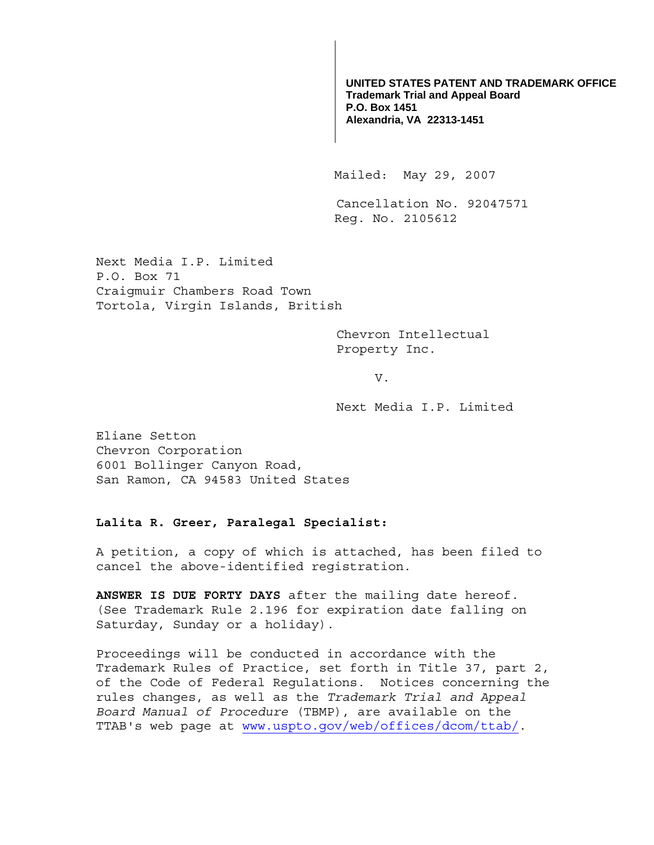**UNITED STATES PATENT AND TRADEMARK OFFICE Trademark Trial and Appeal Board P.O. Box 1451 Alexandria, VA 22313-1451**

Mailed: May 29, 2007

Cancellation No. 92047571 Reg. No. 2105612

Next Media I.P. Limited P.O. Box 71 Craigmuir Chambers Road Town Tortola, Virgin Islands, British

> Chevron Intellectual Property Inc.

> > V.

Next Media I.P. Limited

Eliane Setton Chevron Corporation 6001 Bollinger Canyon Road, San Ramon, CA 94583 United States

## **Lalita R. Greer, Paralegal Specialist:**

A petition, a copy of which is attached, has been filed to cancel the above-identified registration.

**ANSWER IS DUE FORTY DAYS** after the mailing date hereof. (See Trademark Rule 2.196 for expiration date falling on Saturday, Sunday or a holiday).

Proceedings will be conducted in accordance with the Trademark Rules of Practice, set forth in Title 37, part 2, of the Code of Federal Regulations. Notices concerning the rules changes, as well as the *Trademark Trial and Appeal Board Manual of Procedure* (TBMP), are available on the TTAB's web page at www.uspto.gov/web/offices/dcom/ttab/.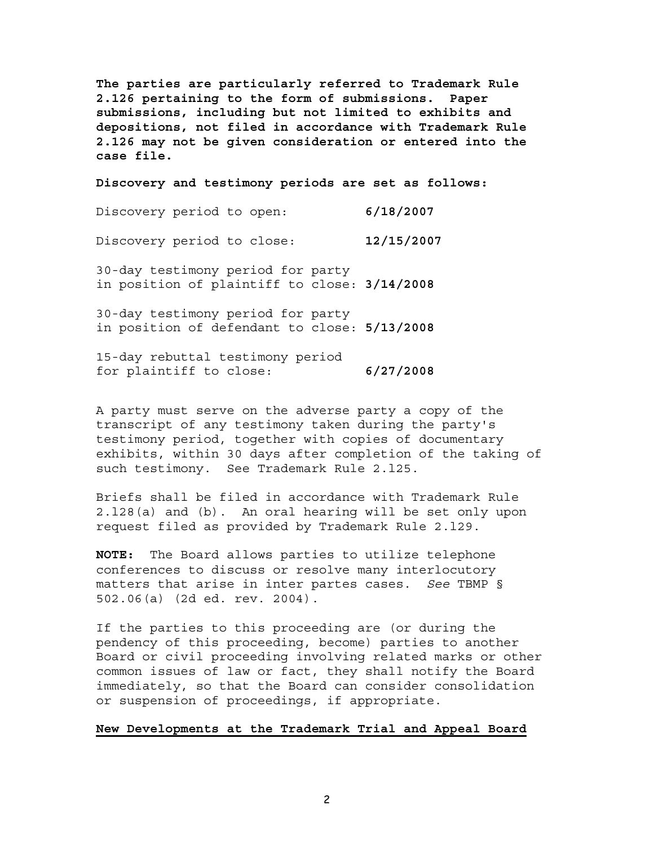**The parties are particularly referred to Trademark Rule 2.126 pertaining to the form of submissions. Paper submissions, including but not limited to exhibits and depositions, not filed in accordance with Trademark Rule 2.126 may not be given consideration or entered into the case file.** 

**Discovery and testimony periods are set as follows:**

| Discovery period to open:                                                         | 6/18/2007  |
|-----------------------------------------------------------------------------------|------------|
| Discovery period to close:                                                        | 12/15/2007 |
| 30-day testimony period for party<br>in position of plaintiff to close: 3/14/2008 |            |

30-day testimony period for party in position of defendant to close: **5/13/2008**

15-day rebuttal testimony period for plaintiff to close: **6/27/2008**

A party must serve on the adverse party a copy of the transcript of any testimony taken during the party's testimony period, together with copies of documentary exhibits, within 30 days after completion of the taking of such testimony. See Trademark Rule 2.l25.

Briefs shall be filed in accordance with Trademark Rule 2.l28(a) and (b). An oral hearing will be set only upon request filed as provided by Trademark Rule 2.l29.

**NOTE:** The Board allows parties to utilize telephone conferences to discuss or resolve many interlocutory matters that arise in inter partes cases. *See* TBMP § 502.06(a) (2d ed. rev. 2004).

If the parties to this proceeding are (or during the pendency of this proceeding, become) parties to another Board or civil proceeding involving related marks or other common issues of law or fact, they shall notify the Board immediately, so that the Board can consider consolidation or suspension of proceedings, if appropriate.

## **New Developments at the Trademark Trial and Appeal Board**